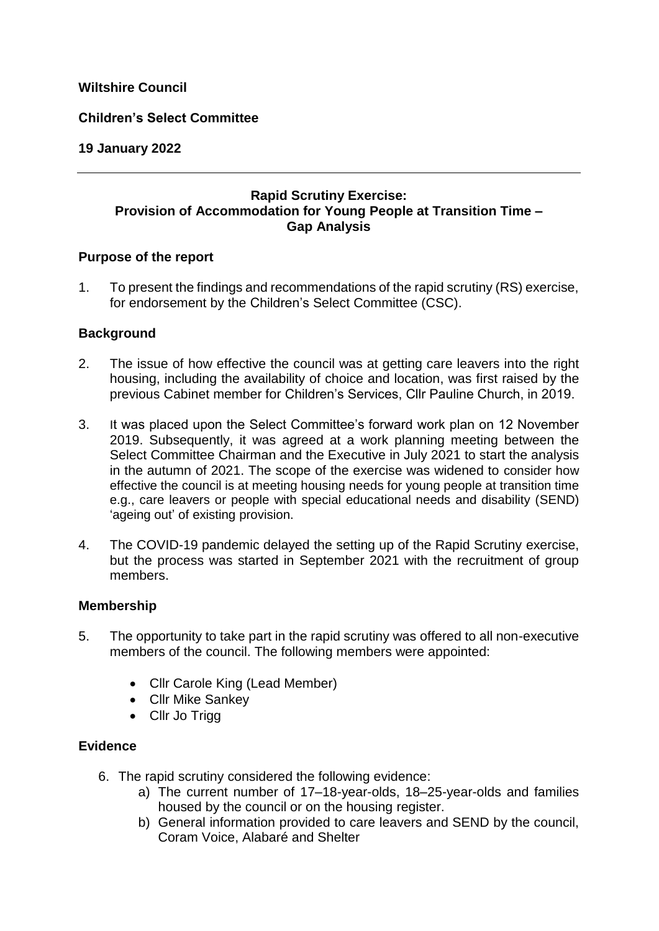# **Wiltshire Council**

### **Children's Select Committee**

### **19 January 2022**

## **Rapid Scrutiny Exercise: Provision of Accommodation for Young People at Transition Time – Gap Analysis**

#### **Purpose of the report**

1. To present the findings and recommendations of the rapid scrutiny (RS) exercise, for endorsement by the Children's Select Committee (CSC).

### **Background**

- 2. The issue of how effective the council was at getting care leavers into the right housing, including the availability of choice and location, was first raised by the previous Cabinet member for Children's Services, Cllr Pauline Church, in 2019.
- 3. It was placed upon the Select Committee's forward work plan on 12 November 2019. Subsequently, it was agreed at a work planning meeting between the Select Committee Chairman and the Executive in July 2021 to start the analysis in the autumn of 2021. The scope of the exercise was widened to consider how effective the council is at meeting housing needs for young people at transition time e.g., care leavers or people with special educational needs and disability (SEND) 'ageing out' of existing provision.
- 4. The COVID-19 pandemic delayed the setting up of the Rapid Scrutiny exercise, but the process was started in September 2021 with the recruitment of group members.

### **Membership**

- 5. The opportunity to take part in the rapid scrutiny was offered to all non-executive members of the council. The following members were appointed:
	- Cllr Carole King (Lead Member)
	- Cllr Mike Sankey
	- Cllr Jo Trigg

### **Evidence**

- 6. The rapid scrutiny considered the following evidence:
	- a) The current number of 17–18-year-olds, 18–25-year-olds and families housed by the council or on the housing register.
	- b) General information provided to care leavers and SEND by the council, Coram Voice, Alabaré and Shelter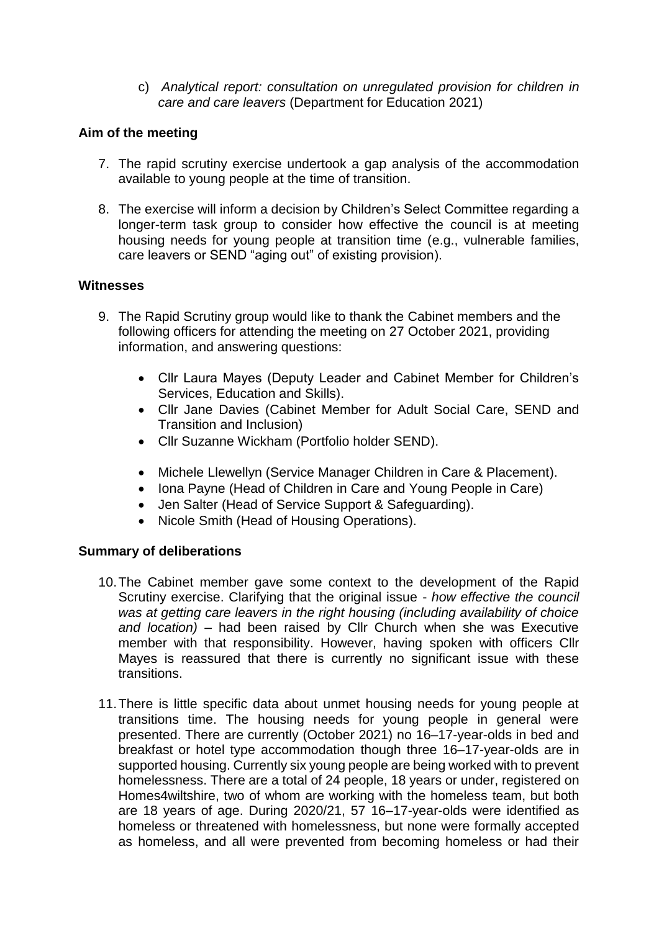c) *Analytical report: consultation on unregulated provision for children in care and care leavers* (Department for Education 2021)

# **Aim of the meeting**

- 7. The rapid scrutiny exercise undertook a gap analysis of the accommodation available to young people at the time of transition.
- 8. The exercise will inform a decision by Children's Select Committee regarding a longer-term task group to consider how effective the council is at meeting housing needs for young people at transition time (e.g., vulnerable families, care leavers or SEND "aging out" of existing provision).

### **Witnesses**

- 9. The Rapid Scrutiny group would like to thank the Cabinet members and the following officers for attending the meeting on 27 October 2021, providing information, and answering questions:
	- Cllr Laura Mayes (Deputy Leader and Cabinet Member for Children's Services, Education and Skills).
	- Cllr Jane Davies (Cabinet Member for Adult Social Care, SEND and Transition and Inclusion)
	- Cllr Suzanne Wickham (Portfolio holder SEND).
	- Michele Llewellyn (Service Manager Children in Care & Placement).
	- Iona Payne (Head of Children in Care and Young People in Care)
	- Jen Salter (Head of Service Support & Safeguarding).
	- Nicole Smith (Head of Housing Operations).

### **Summary of deliberations**

- 10.The Cabinet member gave some context to the development of the Rapid Scrutiny exercise. Clarifying that the original issue - *how effective the council was at getting care leavers in the right housing (including availability of choice and location)* – had been raised by Cllr Church when she was Executive member with that responsibility. However, having spoken with officers Cllr Mayes is reassured that there is currently no significant issue with these transitions.
- 11.There is little specific data about unmet housing needs for young people at transitions time. The housing needs for young people in general were presented. There are currently (October 2021) no 16–17-year-olds in bed and breakfast or hotel type accommodation though three 16–17-year-olds are in supported housing. Currently six young people are being worked with to prevent homelessness. There are a total of 24 people, 18 years or under, registered on Homes4wiltshire, two of whom are working with the homeless team, but both are 18 years of age. During 2020/21, 57 16–17-year-olds were identified as homeless or threatened with homelessness, but none were formally accepted as homeless, and all were prevented from becoming homeless or had their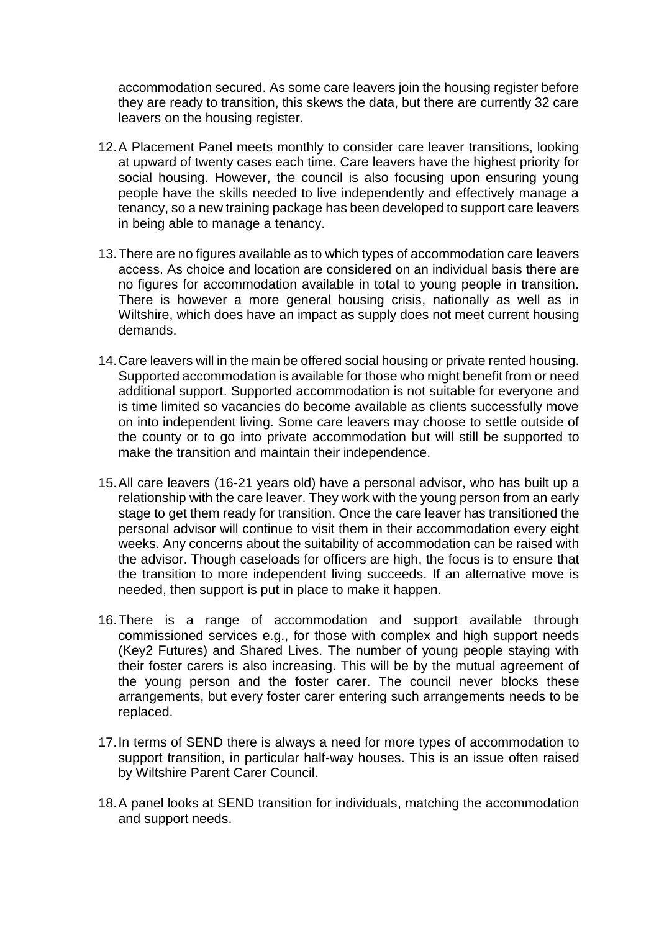accommodation secured. As some care leavers join the housing register before they are ready to transition, this skews the data, but there are currently 32 care leavers on the housing register.

- 12.A Placement Panel meets monthly to consider care leaver transitions, looking at upward of twenty cases each time. Care leavers have the highest priority for social housing. However, the council is also focusing upon ensuring young people have the skills needed to live independently and effectively manage a tenancy, so a new training package has been developed to support care leavers in being able to manage a tenancy.
- 13.There are no figures available as to which types of accommodation care leavers access. As choice and location are considered on an individual basis there are no figures for accommodation available in total to young people in transition. There is however a more general housing crisis, nationally as well as in Wiltshire, which does have an impact as supply does not meet current housing demands.
- 14.Care leavers will in the main be offered social housing or private rented housing. Supported accommodation is available for those who might benefit from or need additional support. Supported accommodation is not suitable for everyone and is time limited so vacancies do become available as clients successfully move on into independent living. Some care leavers may choose to settle outside of the county or to go into private accommodation but will still be supported to make the transition and maintain their independence.
- 15.All care leavers (16-21 years old) have a personal advisor, who has built up a relationship with the care leaver. They work with the young person from an early stage to get them ready for transition. Once the care leaver has transitioned the personal advisor will continue to visit them in their accommodation every eight weeks. Any concerns about the suitability of accommodation can be raised with the advisor. Though caseloads for officers are high, the focus is to ensure that the transition to more independent living succeeds. If an alternative move is needed, then support is put in place to make it happen.
- 16.There is a range of accommodation and support available through commissioned services e.g., for those with complex and high support needs (Key2 Futures) and Shared Lives. The number of young people staying with their foster carers is also increasing. This will be by the mutual agreement of the young person and the foster carer. The council never blocks these arrangements, but every foster carer entering such arrangements needs to be replaced.
- 17.In terms of SEND there is always a need for more types of accommodation to support transition, in particular half-way houses. This is an issue often raised by Wiltshire Parent Carer Council.
- 18.A panel looks at SEND transition for individuals, matching the accommodation and support needs.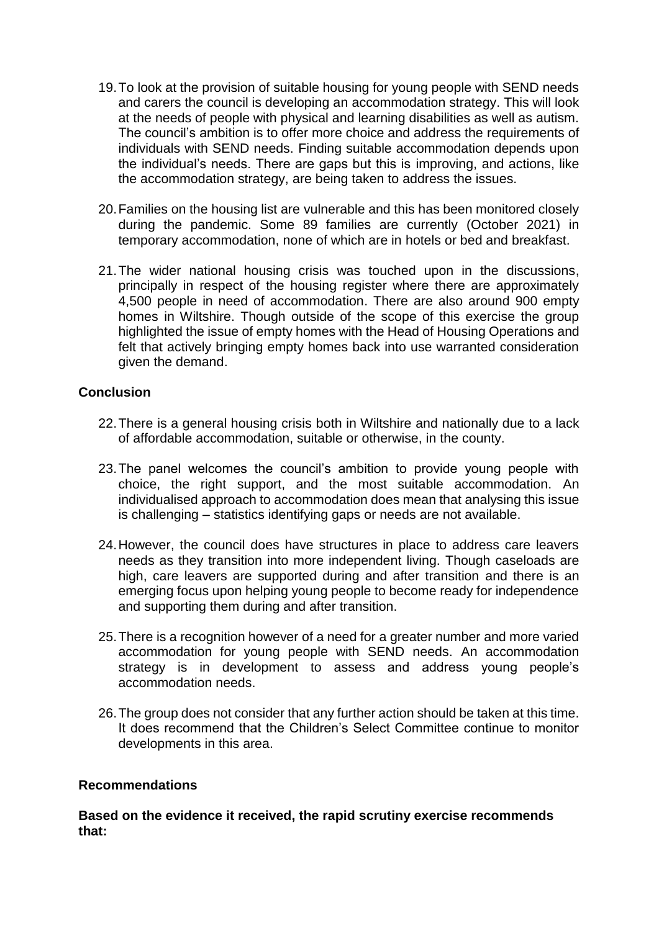- 19.To look at the provision of suitable housing for young people with SEND needs and carers the council is developing an accommodation strategy. This will look at the needs of people with physical and learning disabilities as well as autism. The council's ambition is to offer more choice and address the requirements of individuals with SEND needs. Finding suitable accommodation depends upon the individual's needs. There are gaps but this is improving, and actions, like the accommodation strategy, are being taken to address the issues.
- 20.Families on the housing list are vulnerable and this has been monitored closely during the pandemic. Some 89 families are currently (October 2021) in temporary accommodation, none of which are in hotels or bed and breakfast.
- 21.The wider national housing crisis was touched upon in the discussions, principally in respect of the housing register where there are approximately 4,500 people in need of accommodation. There are also around 900 empty homes in Wiltshire. Though outside of the scope of this exercise the group highlighted the issue of empty homes with the Head of Housing Operations and felt that actively bringing empty homes back into use warranted consideration given the demand.

### **Conclusion**

- 22.There is a general housing crisis both in Wiltshire and nationally due to a lack of affordable accommodation, suitable or otherwise, in the county.
- 23.The panel welcomes the council's ambition to provide young people with choice, the right support, and the most suitable accommodation. An individualised approach to accommodation does mean that analysing this issue is challenging – statistics identifying gaps or needs are not available.
- 24.However, the council does have structures in place to address care leavers needs as they transition into more independent living. Though caseloads are high, care leavers are supported during and after transition and there is an emerging focus upon helping young people to become ready for independence and supporting them during and after transition.
- 25.There is a recognition however of a need for a greater number and more varied accommodation for young people with SEND needs. An accommodation strategy is in development to assess and address young people's accommodation needs.
- 26.The group does not consider that any further action should be taken at this time. It does recommend that the Children's Select Committee continue to monitor developments in this area.

### **Recommendations**

**Based on the evidence it received, the rapid scrutiny exercise recommends that:**